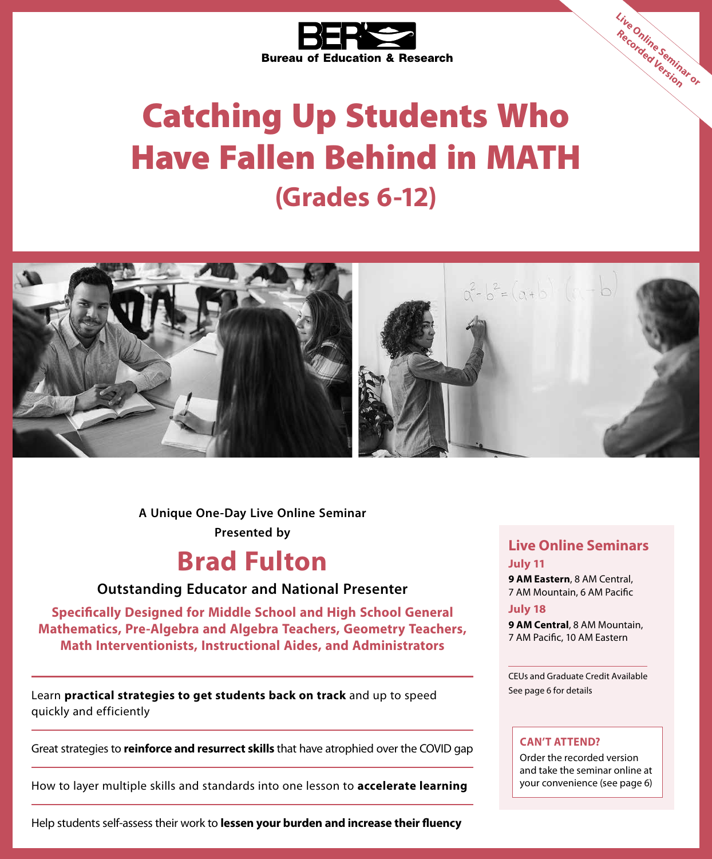

# Catching Up Students Who Have Fallen Behind in MATH **(Grades 6-12)**



**Presented by A Unique One-Day Live Online Seminar**

### **Brad Fulton**

### **Outstanding Educator and National Presenter**

**Specifically Designed for Middle School and High School General Mathematics, Pre-Algebra and Algebra Teachers, Geometry Teachers, Math Interventionists, Instructional Aides, and Administrators**

Learn **practical strategies to get students back on track** and up to speed quickly and efficiently

Great strategies to **reinforce and resurrect skills** that have atrophied over the COVID gap

How to layer multiple skills and standards into one lesson to **accelerate learning**

Help students self-assess their work to **lessen your burden and increase their fluency**

### **Live Online Seminars July 11**

**Live Online Seminar or Recorded Version**

**9 AM Eastern**, 8 AM Central, 7 AM Mountain, 6 AM Pacific

#### **July 18**

**9 AM Central**, 8 AM Mountain, 7 AM Pacific, 10 AM Eastern

CEUs and Graduate Credit Available See page 6 for details

### **CAN'T ATTEND?**

Order the recorded version and take the seminar online at your convenience (see page 6)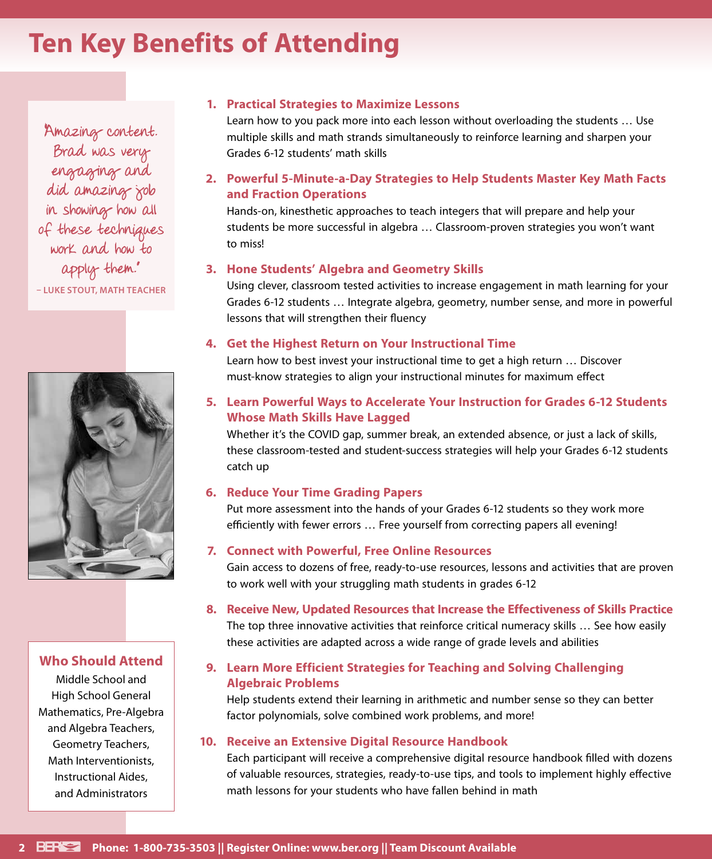### **Ten Key Benefits of Attending**

Amazing content. Brad was very engaging and did amazing job in showing how all of these techniques work and how to apply them." **– LUKE STOUT, MATH TEACHER**



### **Who Should Attend**

Middle School and High School General Mathematics, Pre-Algebra and Algebra Teachers, Geometry Teachers, Math Interventionists, Instructional Aides, and Administrators

### **1. Practical Strategies to Maximize Lessons**

Learn how to you pack more into each lesson without overloading the students … Use multiple skills and math strands simultaneously to reinforce learning and sharpen your Grades 6-12 students' math skills

**2. Powerful 5-Minute-a-Day Strategies to Help Students Master Key Math Facts and Fraction Operations**

Hands-on, kinesthetic approaches to teach integers that will prepare and help your students be more successful in algebra … Classroom-proven strategies you won't want to miss!

#### **3. Hone Students' Algebra and Geometry Skills**

Using clever, classroom tested activities to increase engagement in math learning for your Grades 6-12 students … Integrate algebra, geometry, number sense, and more in powerful lessons that will strengthen their fluency

#### **4. Get the Highest Return on Your Instructional Time**

Learn how to best invest your instructional time to get a high return … Discover must-know strategies to align your instructional minutes for maximum effect

**5. Learn Powerful Ways to Accelerate Your Instruction for Grades 6-12 Students Whose Math Skills Have Lagged**

Whether it's the COVID gap, summer break, an extended absence, or just a lack of skills, these classroom-tested and student-success strategies will help your Grades 6-12 students catch up

#### **6. Reduce Your Time Grading Papers**

Put more assessment into the hands of your Grades 6-12 students so they work more efficiently with fewer errors … Free yourself from correcting papers all evening!

### **7. Connect with Powerful, Free Online Resources**

Gain access to dozens of free, ready-to-use resources, lessons and activities that are proven to work well with your struggling math students in grades 6-12

**8. Receive New, Updated Resources that Increase the Effectiveness of Skills Practice** The top three innovative activities that reinforce critical numeracy skills … See how easily these activities are adapted across a wide range of grade levels and abilities

### **9. Learn More Efficient Strategies for Teaching and Solving Challenging Algebraic Problems**

Help students extend their learning in arithmetic and number sense so they can better factor polynomials, solve combined work problems, and more!

#### **10. Receive an Extensive Digital Resource Handbook**

Each participant will receive a comprehensive digital resource handbook filled with dozens of valuable resources, strategies, ready-to-use tips, and tools to implement highly effective math lessons for your students who have fallen behind in math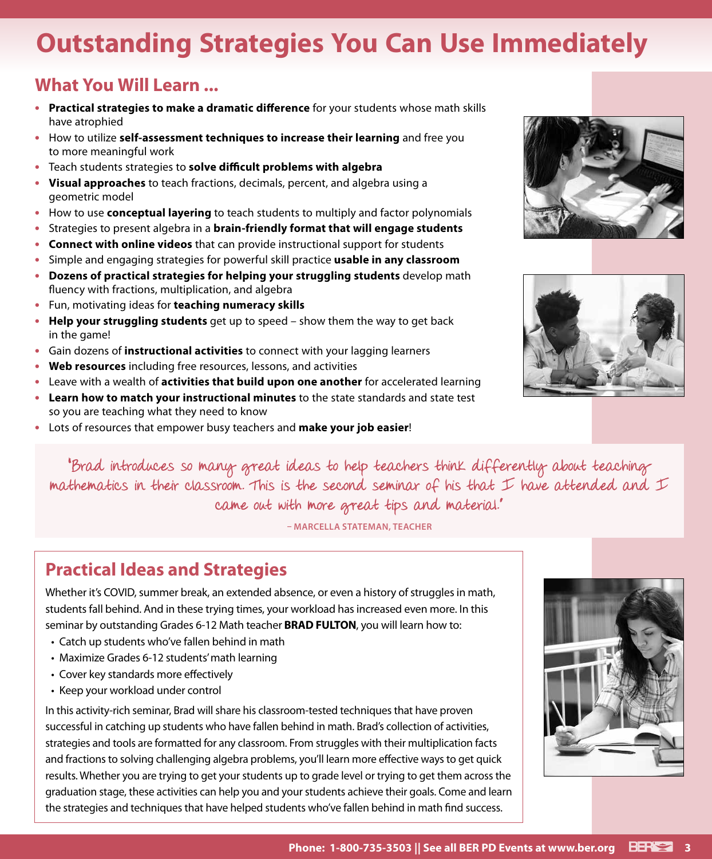## **Outstanding Strategies You Can Use Immediately**

### **What You Will Learn ...**

- **• Practical strategies to make a dramatic difference** for your students whose math skills have atrophied
- **•** How to utilize **self-assessment techniques to increase their learning** and free you to more meaningful work
- **•** Teach students strategies to **solve difficult problems with algebra**
- **• Visual approaches** to teach fractions, decimals, percent, and algebra using a geometric model
- **•** How to use **conceptual layering** to teach students to multiply and factor polynomials
- **•** Strategies to present algebra in a **brain-friendly format that will engage students**
- **• Connect with online videos** that can provide instructional support for students
- **•** Simple and engaging strategies for powerful skill practice **usable in any classroom**
- **• Dozens of practical strategies for helping your struggling students** develop math fluency with fractions, multiplication, and algebra
- **•** Fun, motivating ideas for **teaching numeracy skills**
- **• Help your struggling students** get up to speed show them the way to get back in the game!
- **•** Gain dozens of **instructional activities** to connect with your lagging learners
- **• Web resources** including free resources, lessons, and activities
- **•** Leave with a wealth of **activities that build upon one another** for accelerated learning
- **• Learn how to match your instructional minutes** to the state standards and state test so you are teaching what they need to know
- **•** Lots of resources that empower busy teachers and **make your job easier**!





"Brad introduces so many great ideas to help teachers think differently about teaching mathematics in their classroom. This is the second seminar of his that  $\mathcal I$  have attended and  $\mathcal I$ came out with more great tips and material."

**– MARCELLA STATEMAN, TEACHER**

### **Practical Ideas and Strategies**

Whether it's COVID, summer break, an extended absence, or even a history of struggles in math, students fall behind. And in these trying times, your workload has increased even more. In this seminar by outstanding Grades 6-12 Math teacher **BRAD FULTON**, you will learn how to:

- Catch up students who've fallen behind in math
- Maximize Grades 6-12 students' math learning
- Cover key standards more effectively
- Keep your workload under control

In this activity-rich seminar, Brad will share his classroom-tested techniques that have proven successful in catching up students who have fallen behind in math. Brad's collection of activities, strategies and tools are formatted for any classroom. From struggles with their multiplication facts and fractions to solving challenging algebra problems, you'll learn more effective ways to get quick results. Whether you are trying to get your students up to grade level or trying to get them across the graduation stage, these activities can help you and your students achieve their goals. Come and learn the strategies and techniques that have helped students who've fallen behind in math find success.

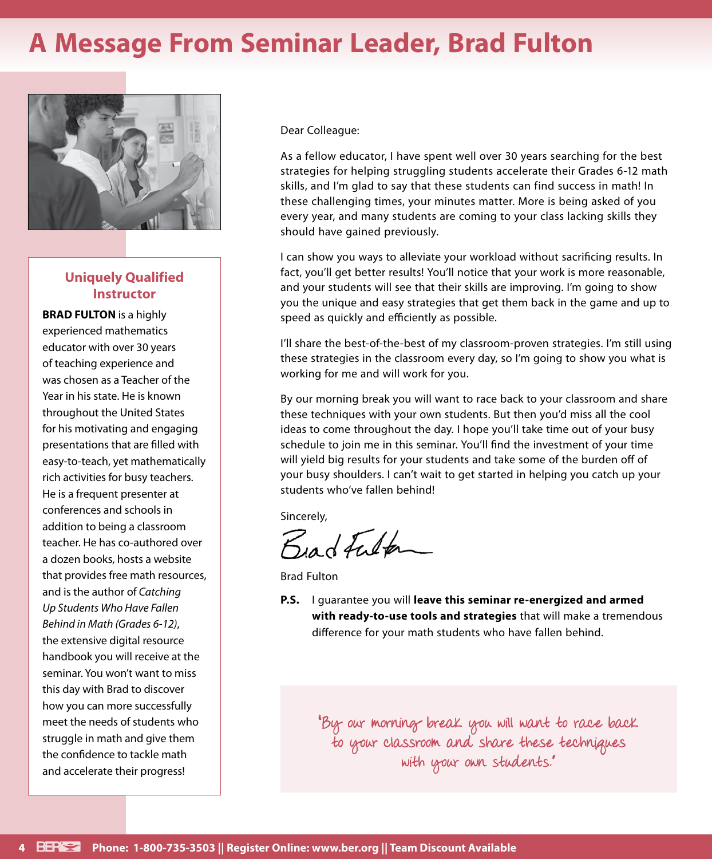### **A Message From Seminar Leader, Brad Fulton**



### **Uniquely Qualified Instructor**

**BRAD FULTON** is a highly experienced mathematics educator with over 30 years of teaching experience and was chosen as a Teacher of the Year in his state. He is known throughout the United States for his motivating and engaging presentations that are filled with easy-to-teach, yet mathematically rich activities for busy teachers. He is a frequent presenter at conferences and schools in addition to being a classroom teacher. He has co-authored over a dozen books, hosts a website that provides free math resources, and is the author of *Catching Up Students Who Have Fallen Behind in Math (Grades 6-12)*, the extensive digital resource handbook you will receive at the seminar. You won't want to miss this day with Brad to discover how you can more successfully meet the needs of students who struggle in math and give them the confidence to tackle math and accelerate their progress!

Dear Colleague:

As a fellow educator, I have spent well over 30 years searching for the best strategies for helping struggling students accelerate their Grades 6-12 math skills, and I'm glad to say that these students can find success in math! In these challenging times, your minutes matter. More is being asked of you every year, and many students are coming to your class lacking skills they should have gained previously.

I can show you ways to alleviate your workload without sacrificing results. In fact, you'll get better results! You'll notice that your work is more reasonable, and your students will see that their skills are improving. I'm going to show you the unique and easy strategies that get them back in the game and up to speed as quickly and efficiently as possible.

I'll share the best-of-the-best of my classroom-proven strategies. I'm still using these strategies in the classroom every day, so I'm going to show you what is working for me and will work for you.

By our morning break you will want to race back to your classroom and share these techniques with your own students. But then you'd miss all the cool ideas to come throughout the day. I hope you'll take time out of your busy schedule to join me in this seminar. You'll find the investment of your time will yield big results for your students and take some of the burden off of your busy shoulders. I can't wait to get started in helping you catch up your students who've fallen behind!

Sincerely,

Birdfulton

Brad Fulton

**P.S.** I guarantee you will **leave this seminar re-energized and armed with ready-to-use tools and strategies** that will make a tremendous difference for your math students who have fallen behind.

"By our morning break you will want to race back to your classroom and share these techniques with your own students."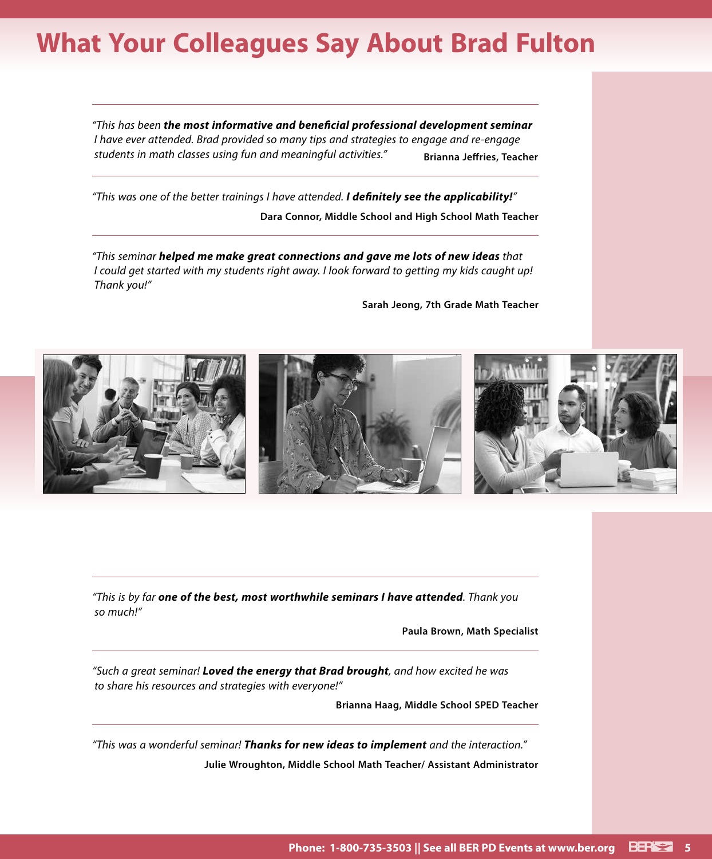### **What Your Colleagues Say About Brad Fulton**

*"This has been the most informative and beneficial professional development seminar I have ever attended. Brad provided so many tips and strategies to engage and re-engage*  students in math classes using fun and meaningful activities." **Brianna Jeffries, Teacher** 

*"This was one of the better trainings I have attended. I definitely see the applicability!"* **Dara Connor, Middle School and High School Math Teacher**

*"This seminar helped me make great connections and gave me lots of new ideas that I could get started with my students right away. I look forward to getting my kids caught up! Thank you!"*

**Sarah Jeong, 7th Grade Math Teacher**



*"This is by far one of the best, most worthwhile seminars I have attended. Thank you so much!"*

**Paula Brown, Math Specialist**

*"Such a great seminar! Loved the energy that Brad brought, and how excited he was to share his resources and strategies with everyone!"*

**Brianna Haag, Middle School SPED Teacher**

*"This was a wonderful seminar! Thanks for new ideas to implement and the interaction."* **Julie Wroughton, Middle School Math Teacher/ Assistant Administrator**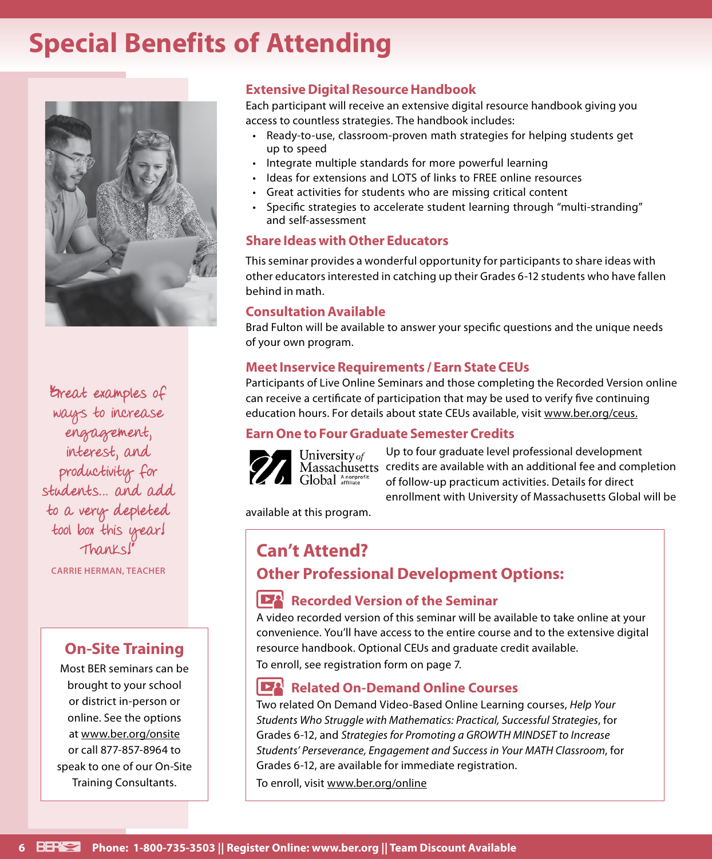### **Special Benefits of Attending**



Erreat examples of ways to increase engagement, interest, and productivity for students… and add to a very depleted tool box this year! Thanks!"

**CARRIE HERMAN, TEACHER**

### **On-Site Training**

Most BER seminars can be brought to your school or district in-person or online. See the options at www.ber.org/onsite or call 877-857-8964 to speak to one of our On-Site Training Consultants.

### **Extensive Digital Resource Handbook**

Each participant will receive an extensive digital resource handbook giving you access to countless strategies. The handbook includes:

- Ready-to-use, classroom-proven math strategies for helping students get up to speed
- Integrate multiple standards for more powerful learning
- Ideas for extensions and LOTS of links to FREE online resources
- Great activities for students who are missing critical content
- Specific strategies to accelerate student learning through "multi-stranding" and self-assessment

### **Share Ideas with Other Educators**

This seminar provides a wonderful opportunity for participants to share ideas with other educators interested in catching up their Grades 6-12 students who have fallen behind in math.

### **Consultation Available**

Brad Fulton will be available to answer your specific questions and the unique needs of your own program.

### **Meet Inservice Requirements / Earn State CEUs**

Participants of Live Online Seminars and those completing the Recorded Version online can receive a certificate of participation that may be used to verify five continuing education hours. For details about state CEUs available, visit www.ber.org/ceus.

### **Earn One to Four Graduate Semester Credits**



University of Global Anonprofit

Up to four graduate level professional development Massachusetts credits are available with an additional fee and completion of follow-up practicum activities. Details for direct enrollment with University of Massachusetts Global will be

available at this program.

### **Can't Attend? Other Professional Development Options:**

### **Recorded Version of the Seminar**

A video recorded version of this seminar will be available to take online at your convenience. You'll have access to the entire course and to the extensive digital resource handbook. Optional CEUs and graduate credit available. To enroll, see registration form on page 7.

#### $\mathbf{P}^{\mathbf{Q}}$ **Related On-Demand Online Courses**

Two related On Demand Video-Based Online Learning courses, *Help Your Students Who Struggle with Mathematics: Practical, Successful Strategies*, for Grades 6-12, and *Strategies for Promoting a GROWTH MINDSET to Increase Students' Perseverance, Engagement and Success in Your MATH Classroom*, for Grades 6-12, are available for immediate registration. To enroll, visit www.ber.org/online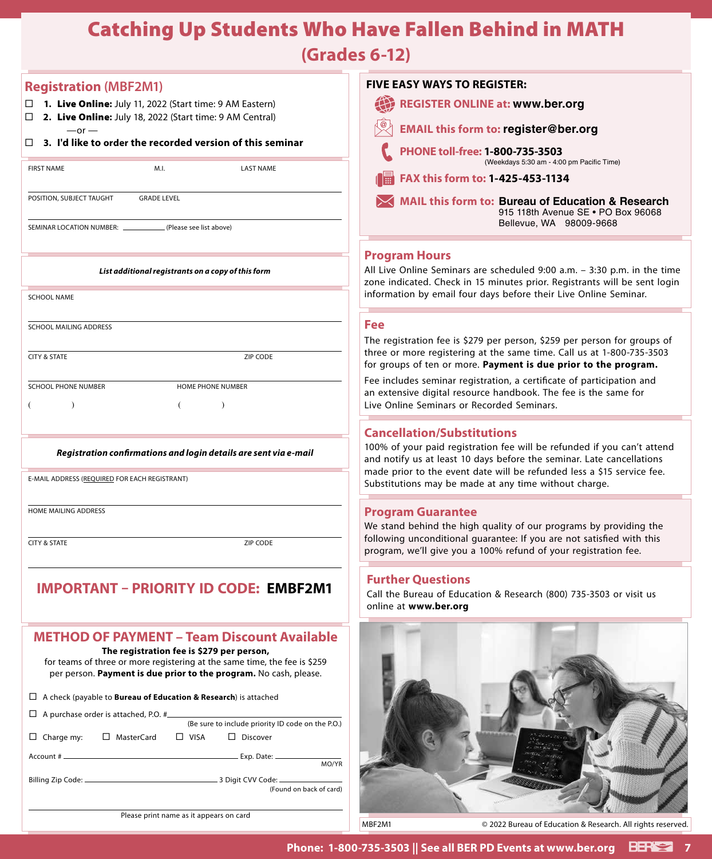### Catching Up Students Who Have Fallen Behind in MATH

**(Grades 6-12)**

| <b>Registration (MBF2M1)</b>                                                                                                                   | <b>FIVE EASY WAYS TO REGISTER:</b>                                                                                                               |
|------------------------------------------------------------------------------------------------------------------------------------------------|--------------------------------------------------------------------------------------------------------------------------------------------------|
| 1. Live Online: July 11, 2022 (Start time: 9 AM Eastern)                                                                                       | 42<br><b>REGISTER ONLINE at: www.ber.org</b>                                                                                                     |
| 2. Live Online: July 18, 2022 (Start time: 9 AM Central)<br>$\Box$<br>$-$ or $-$                                                               | <b>EMAIL this form to: register@ber.org</b>                                                                                                      |
| $\Box$ 3. I'd like to order the recorded version of this seminar                                                                               | PHONE toll-free: 1-800-735-3503                                                                                                                  |
| <b>FIRST NAME</b><br>M.I.<br><b>LAST NAME</b>                                                                                                  | (Weekdays 5:30 am - 4:00 pm Pacific Time)                                                                                                        |
|                                                                                                                                                | FAX this form to: 1-425-453-1134                                                                                                                 |
| POSITION, SUBJECT TAUGHT<br><b>GRADE LEVEL</b>                                                                                                 | <b>MAIL this form to: Bureau of Education &amp; Research</b><br>915 118th Avenue SE . PO Box 96068                                               |
| (Please see list above)<br>SEMINAR LOCATION NUMBER: __                                                                                         | Bellevue, WA 98009-9668                                                                                                                          |
|                                                                                                                                                | <b>Program Hours</b>                                                                                                                             |
| List additional registrants on a copy of this form                                                                                             | All Live Online Seminars are scheduled 9:00 a.m. - 3:30 p.m. in the time                                                                         |
| <b>SCHOOL NAME</b>                                                                                                                             | zone indicated. Check in 15 minutes prior. Registrants will be sent login<br>information by email four days before their Live Online Seminar.    |
|                                                                                                                                                |                                                                                                                                                  |
| SCHOOL MAILING ADDRESS                                                                                                                         | Fee<br>The registration fee is \$279 per person, \$259 per person for groups of                                                                  |
| <b>CITY &amp; STATE</b><br>ZIP CODE                                                                                                            | three or more registering at the same time. Call us at 1-800-735-3503                                                                            |
|                                                                                                                                                | for groups of ten or more. Payment is due prior to the program.<br>Fee includes seminar registration, a certificate of participation and         |
| <b>SCHOOL PHONE NUMBER</b><br>HOME PHONE NUMBER                                                                                                | an extensive digital resource handbook. The fee is the same for                                                                                  |
| $\lambda$                                                                                                                                      | Live Online Seminars or Recorded Seminars.                                                                                                       |
|                                                                                                                                                | <b>Cancellation/Substitutions</b>                                                                                                                |
| Registration confirmations and login details are sent via e-mail                                                                               | 100% of your paid registration fee will be refunded if you can't attend<br>and notify us at least 10 days before the seminar. Late cancellations |
| E-MAIL ADDRESS (REQUIRED FOR EACH REGISTRANT)                                                                                                  | made prior to the event date will be refunded less a \$15 service fee.<br>Substitutions may be made at any time without charge.                  |
|                                                                                                                                                |                                                                                                                                                  |
| HOME MAILING ADDRESS                                                                                                                           | <b>Program Guarantee</b>                                                                                                                         |
| ZIP CODE<br><b>CITY &amp; STATE</b>                                                                                                            | We stand behind the high quality of our programs by providing the<br>following unconditional guarantee: If you are not satisfied with this       |
|                                                                                                                                                | program, we'll give you a 100% refund of your registration fee.                                                                                  |
| <b>IMPORTANT - PRIORITY ID CODE: EMBF2M1</b>                                                                                                   | <b>Further Questions</b>                                                                                                                         |
|                                                                                                                                                | Call the Bureau of Education & Research (800) 735-3503 or visit us<br>online at www.ber.org                                                      |
|                                                                                                                                                |                                                                                                                                                  |
| <b>METHOD OF PAYMENT - Team Discount Available</b><br>The registration fee is \$279 per person,                                                |                                                                                                                                                  |
| for teams of three or more registering at the same time, the fee is \$259<br>per person. Payment is due prior to the program. No cash, please. |                                                                                                                                                  |
|                                                                                                                                                |                                                                                                                                                  |
| $\Box$ A check (payable to <b>Bureau of Education &amp; Research</b> ) is attached                                                             |                                                                                                                                                  |
| $\Box$ A purchase order is attached, P.O. # $\Box$<br>(Be sure to include priority ID code on the P.O.)                                        |                                                                                                                                                  |
| $\Box$ Charge my:<br>□ MasterCard<br>$\Box$ VISA<br>$\Box$ Discover                                                                            |                                                                                                                                                  |
| MO/YR                                                                                                                                          |                                                                                                                                                  |
| (Found on back of card)                                                                                                                        |                                                                                                                                                  |
| Please print name as it appears on card                                                                                                        |                                                                                                                                                  |
|                                                                                                                                                | MBF2M1<br>© 2022 Bureau of Education & Research. All rights reserved.                                                                            |